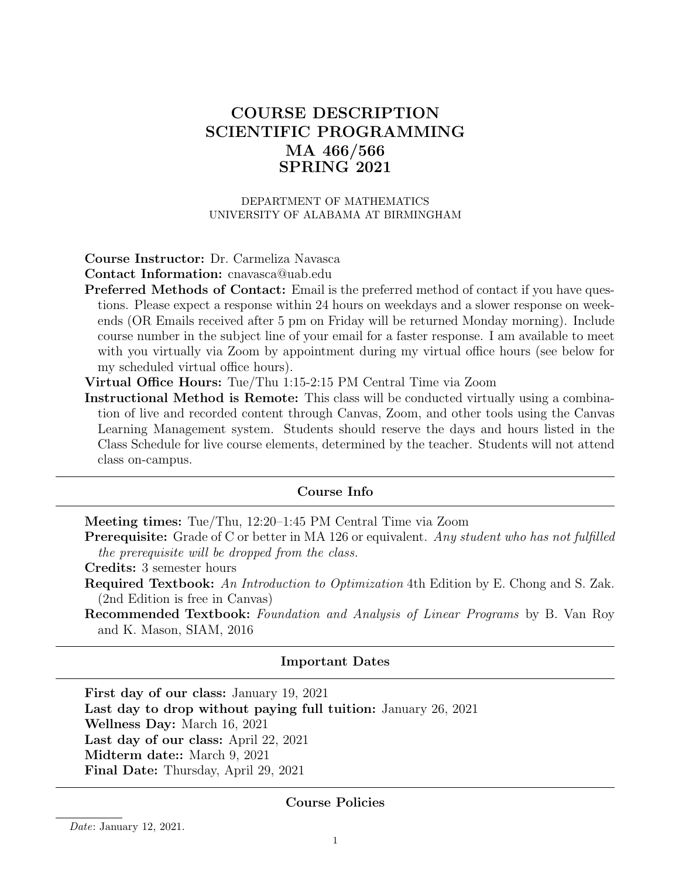# COURSE DESCRIPTION SCIENTIFIC PROGRAMMING MA 466/566 SPRING 2021

#### DEPARTMENT OF MATHEMATICS UNIVERSITY OF ALABAMA AT BIRMINGHAM

#### Course Instructor: Dr. Carmeliza Navasca

Contact Information: cnavasca@uab.edu

- Preferred Methods of Contact: Email is the preferred method of contact if you have questions. Please expect a response within 24 hours on weekdays and a slower response on weekends (OR Emails received after 5 pm on Friday will be returned Monday morning). Include course number in the subject line of your email for a faster response. I am available to meet with you virtually via Zoom by appointment during my virtual office hours (see below for my scheduled virtual office hours).
- Virtual Office Hours: Tue/Thu 1:15-2:15 PM Central Time via Zoom
- Instructional Method is Remote: This class will be conducted virtually using a combination of live and recorded content through Canvas, Zoom, and other tools using the Canvas Learning Management system. Students should reserve the days and hours listed in the Class Schedule for live course elements, determined by the teacher. Students will not attend class on-campus.

#### Course Info

Meeting times: Tue/Thu, 12:20–1:45 PM Central Time via Zoom

**Prerequisite:** Grade of C or better in MA 126 or equivalent. Any student who has not fulfilled the prerequisite will be dropped from the class.

Credits: 3 semester hours

- Required Textbook: An Introduction to Optimization 4th Edition by E. Chong and S. Zak. (2nd Edition is free in Canvas)
- Recommended Textbook: Foundation and Analysis of Linear Programs by B. Van Roy and K. Mason, SIAM, 2016

#### Important Dates

First day of our class: January 19, 2021 Last day to drop without paying full tuition: January 26, 2021 Wellness Day: March 16, 2021 Last day of our class: April 22, 2021 Midterm date:: March 9, 2021 Final Date: Thursday, April 29, 2021

#### Course Policies

Date: January 12, 2021.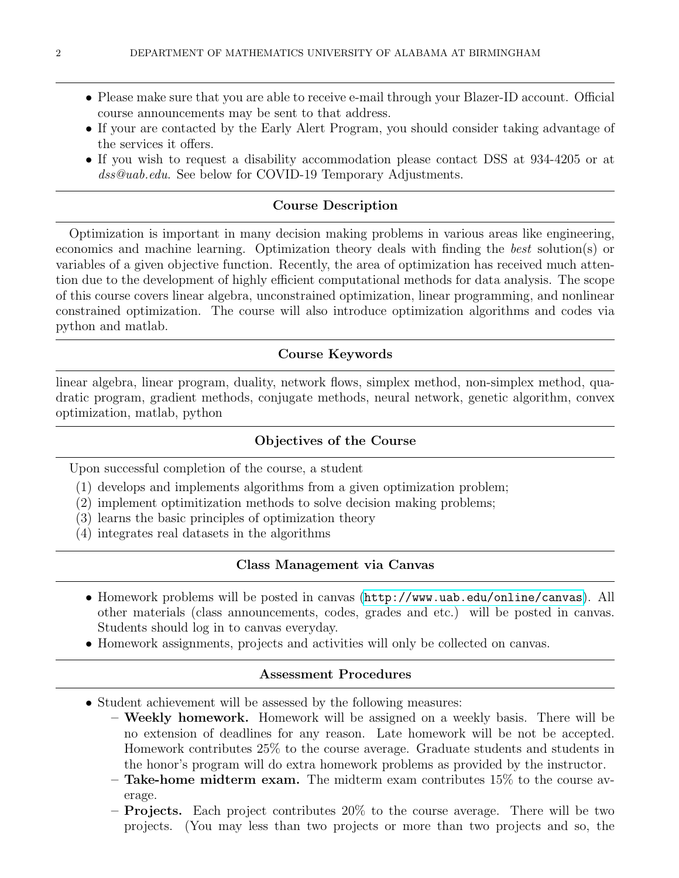- Please make sure that you are able to receive e-mail through your Blazer-ID account. Official course announcements may be sent to that address.
- If your are contacted by the Early Alert Program, you should consider taking advantage of the services it offers.
- If you wish to request a disability accommodation please contact DSS at 934-4205 or at dss@uab.edu. See below for COVID-19 Temporary Adjustments.

#### Course Description

Optimization is important in many decision making problems in various areas like engineering, economics and machine learning. Optimization theory deals with finding the best solution(s) or variables of a given objective function. Recently, the area of optimization has received much attention due to the development of highly efficient computational methods for data analysis. The scope of this course covers linear algebra, unconstrained optimization, linear programming, and nonlinear constrained optimization. The course will also introduce optimization algorithms and codes via python and matlab.

#### Course Keywords

linear algebra, linear program, duality, network flows, simplex method, non-simplex method, quadratic program, gradient methods, conjugate methods, neural network, genetic algorithm, convex optimization, matlab, python

#### Objectives of the Course

Upon successful completion of the course, a student

- (1) develops and implements algorithms from a given optimization problem;
- (2) implement optimitization methods to solve decision making problems;
- (3) learns the basic principles of optimization theory
- (4) integrates real datasets in the algorithms

#### Class Management via Canvas

- Homework problems will be posted in canvas (<http://www.uab.edu/online/canvas>). All other materials (class announcements, codes, grades and etc.) will be posted in canvas. Students should log in to canvas everyday.
- Homework assignments, projects and activities will only be collected on canvas.

#### Assessment Procedures

- Student achievement will be assessed by the following measures:
	- Weekly homework. Homework will be assigned on a weekly basis. There will be no extension of deadlines for any reason. Late homework will be not be accepted. Homework contributes 25% to the course average. Graduate students and students in the honor's program will do extra homework problems as provided by the instructor.
	- Take-home midterm exam. The midterm exam contributes 15% to the course average.
	- Projects. Each project contributes 20% to the course average. There will be two projects. (You may less than two projects or more than two projects and so, the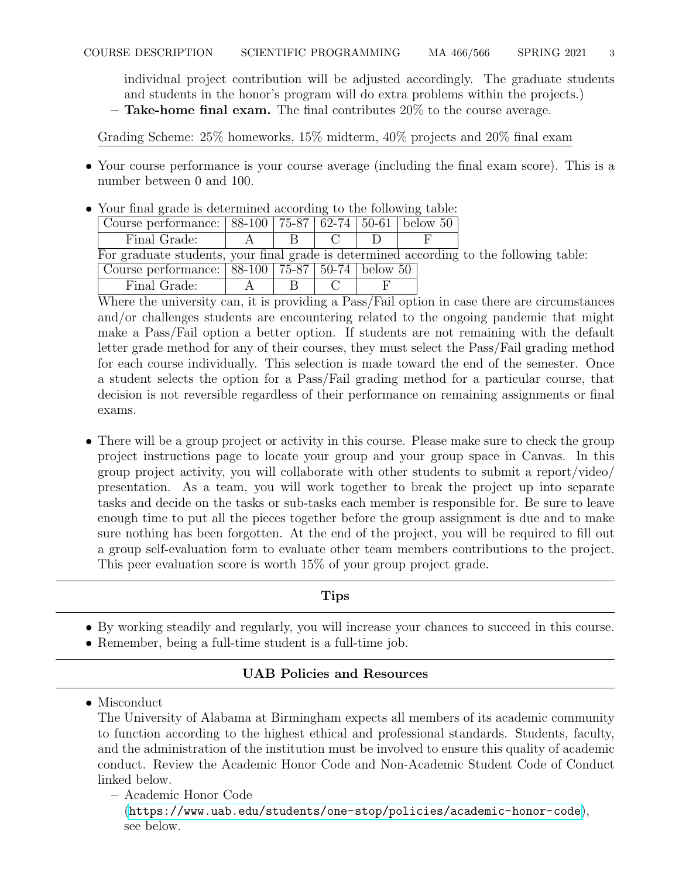individual project contribution will be adjusted accordingly. The graduate students and students in the honor's program will do extra problems within the projects.)  $-$  Take-home final exam. The final contributes  $20\%$  to the course average.

Grading Scheme: 25% homeworks, 15% midterm, 40% projects and 20% final exam

• Your course performance is your course average (including the final exam score). This is a number between 0 and 100.

|                                                                                         |                                                                 |             | Your final grade is determined according to the following table: |  |  |  |  |  |  |
|-----------------------------------------------------------------------------------------|-----------------------------------------------------------------|-------------|------------------------------------------------------------------|--|--|--|--|--|--|
|                                                                                         | Course performance:   88-100   75-87   62-74   50-61   below 50 |             |                                                                  |  |  |  |  |  |  |
|                                                                                         | Final Grade:                                                    | $\mathbf A$ | R                                                                |  |  |  |  |  |  |
| For graduate students, your final grade is determined according to the following table: |                                                                 |             |                                                                  |  |  |  |  |  |  |
|                                                                                         | Course performance:   88-100   75-87   50-74   below 50         |             |                                                                  |  |  |  |  |  |  |
|                                                                                         | Final Grade:                                                    |             |                                                                  |  |  |  |  |  |  |

 $\mathbf{v}$  your final grade is determined according table

Where the university can, it is providing a Pass/Fail option in case there are circumstances and/or challenges students are encountering related to the ongoing pandemic that might make a Pass/Fail option a better option. If students are not remaining with the default letter grade method for any of their courses, they must select the Pass/Fail grading method for each course individually. This selection is made toward the end of the semester. Once a student selects the option for a Pass/Fail grading method for a particular course, that decision is not reversible regardless of their performance on remaining assignments or final exams.

• There will be a group project or activity in this course. Please make sure to check the group project instructions page to locate your group and your group space in Canvas. In this group project activity, you will collaborate with other students to submit a report/video/ presentation. As a team, you will work together to break the project up into separate tasks and decide on the tasks or sub-tasks each member is responsible for. Be sure to leave enough time to put all the pieces together before the group assignment is due and to make sure nothing has been forgotten. At the end of the project, you will be required to fill out a group self-evaluation form to evaluate other team members contributions to the project. This peer evaluation score is worth 15% of your group project grade.

### Tips

- By working steadily and regularly, you will increase your chances to succeed in this course.
- Remember, being a full-time student is a full-time job.

## UAB Policies and Resources

• Misconduct

The University of Alabama at Birmingham expects all members of its academic community to function according to the highest ethical and professional standards. Students, faculty, and the administration of the institution must be involved to ensure this quality of academic conduct. Review the Academic Honor Code and Non-Academic Student Code of Conduct linked below.

– Academic Honor Code

(<https://www.uab.edu/students/one-stop/policies/academic-honor-code>), see below.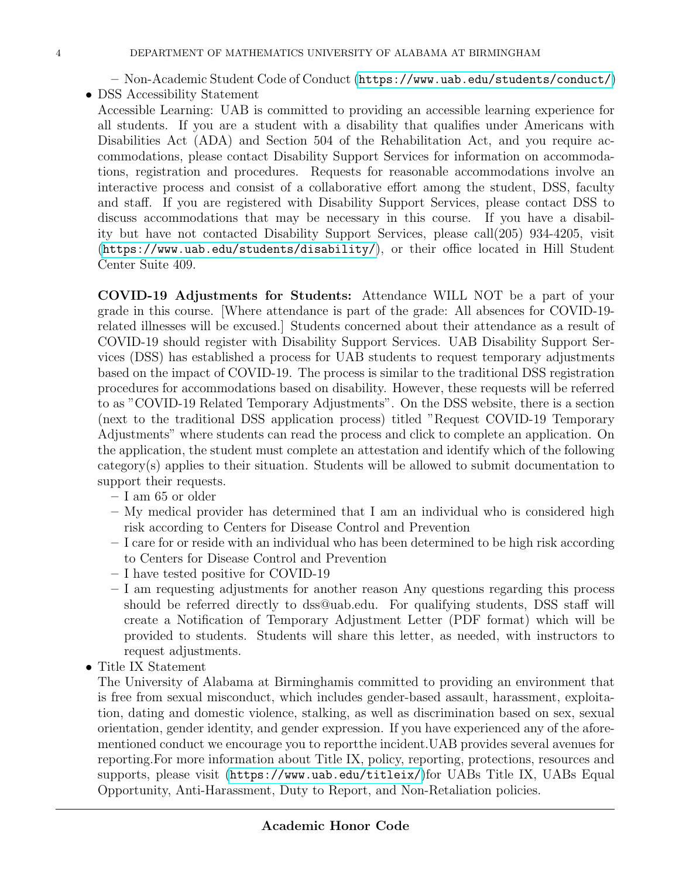- Non-Academic Student Code of Conduct (<https://www.uab.edu/students/conduct/>)
- DSS Accessibility Statement
	- Accessible Learning: UAB is committed to providing an accessible learning experience for all students. If you are a student with a disability that qualifies under Americans with Disabilities Act (ADA) and Section 504 of the Rehabilitation Act, and you require accommodations, please contact Disability Support Services for information on accommodations, registration and procedures. Requests for reasonable accommodations involve an interactive process and consist of a collaborative effort among the student, DSS, faculty and staff. If you are registered with Disability Support Services, please contact DSS to discuss accommodations that may be necessary in this course. If you have a disability but have not contacted Disability Support Services, please call(205) 934-4205, visit (<https://www.uab.edu/students/disability/>), or their office located in Hill Student Center Suite 409.

COVID-19 Adjustments for Students: Attendance WILL NOT be a part of your grade in this course. [Where attendance is part of the grade: All absences for COVID-19 related illnesses will be excused.] Students concerned about their attendance as a result of COVID-19 should register with Disability Support Services. UAB Disability Support Services (DSS) has established a process for UAB students to request temporary adjustments based on the impact of COVID-19. The process is similar to the traditional DSS registration procedures for accommodations based on disability. However, these requests will be referred to as "COVID-19 Related Temporary Adjustments". On the DSS website, there is a section (next to the traditional DSS application process) titled "Request COVID-19 Temporary Adjustments" where students can read the process and click to complete an application. On the application, the student must complete an attestation and identify which of the following category(s) applies to their situation. Students will be allowed to submit documentation to support their requests.

- I am 65 or older
- My medical provider has determined that I am an individual who is considered high risk according to Centers for Disease Control and Prevention
- I care for or reside with an individual who has been determined to be high risk according to Centers for Disease Control and Prevention
- I have tested positive for COVID-19
- I am requesting adjustments for another reason Any questions regarding this process should be referred directly to dss@uab.edu. For qualifying students, DSS staff will create a Notification of Temporary Adjustment Letter (PDF format) which will be provided to students. Students will share this letter, as needed, with instructors to request adjustments.
- Title IX Statement

The University of Alabama at Birminghamis committed to providing an environment that is free from sexual misconduct, which includes gender-based assault, harassment, exploitation, dating and domestic violence, stalking, as well as discrimination based on sex, sexual orientation, gender identity, and gender expression. If you have experienced any of the aforementioned conduct we encourage you to reportthe incident.UAB provides several avenues for reporting.For more information about Title IX, policy, reporting, protections, resources and supports, please visit (<https://www.uab.edu/titleix/>)for UABs Title IX, UABs Equal Opportunity, Anti-Harassment, Duty to Report, and Non-Retaliation policies.